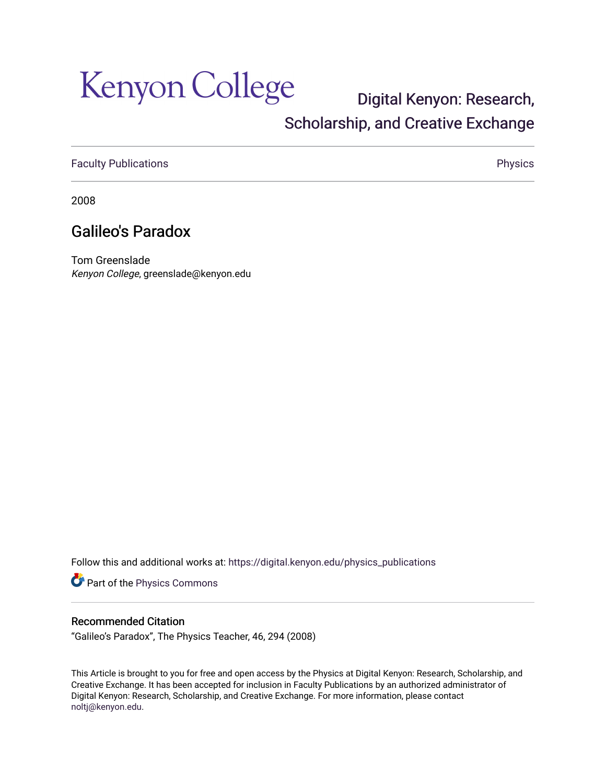# Kenyon College

### [Digital Kenyon: Research,](https://digital.kenyon.edu/)  [Scholarship, and Creative Exchange](https://digital.kenyon.edu/)

[Faculty Publications](https://digital.kenyon.edu/physics_publications) **Physics** 

2008

### Galileo's Paradox

Tom Greenslade Kenyon College, greenslade@kenyon.edu

Follow this and additional works at: [https://digital.kenyon.edu/physics\\_publications](https://digital.kenyon.edu/physics_publications?utm_source=digital.kenyon.edu%2Fphysics_publications%2F118&utm_medium=PDF&utm_campaign=PDFCoverPages) 

Part of the [Physics Commons](http://network.bepress.com/hgg/discipline/193?utm_source=digital.kenyon.edu%2Fphysics_publications%2F118&utm_medium=PDF&utm_campaign=PDFCoverPages)

#### Recommended Citation

"Galileo's Paradox", The Physics Teacher, 46, 294 (2008)

This Article is brought to you for free and open access by the Physics at Digital Kenyon: Research, Scholarship, and Creative Exchange. It has been accepted for inclusion in Faculty Publications by an authorized administrator of Digital Kenyon: Research, Scholarship, and Creative Exchange. For more information, please contact [noltj@kenyon.edu](mailto:noltj@kenyon.edu).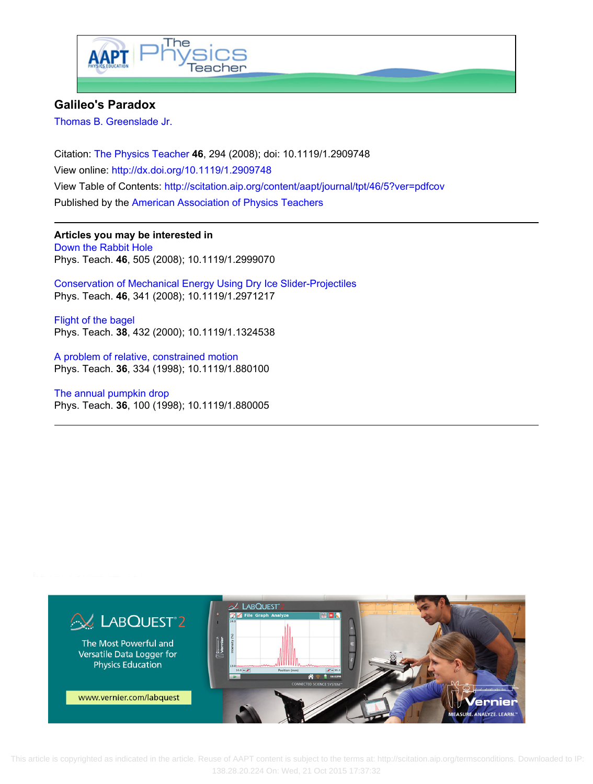

#### **Galileo's Paradox**

[Thomas B. Greenslade Jr.](http://scitation.aip.org/search?value1=Thomas+B.+Greenslade+Jr.&option1=author)

Citation: [The Physics Teacher](http://scitation.aip.org/content/aapt/journal/tpt?ver=pdfcov) **46**, 294 (2008); doi: 10.1119/1.2909748 View online:<http://dx.doi.org/10.1119/1.2909748> View Table of Contents:<http://scitation.aip.org/content/aapt/journal/tpt/46/5?ver=pdfcov> Published by the [American Association of Physics Teachers](http://scitation.aip.org/content/aapt?ver=pdfcov)

**Articles you may be interested in** [Down the Rabbit Hole](http://scitation.aip.org/content/aapt/journal/tpt/46/8/10.1119/1.2999070?ver=pdfcov) Phys. Teach. **46**, 505 (2008); 10.1119/1.2999070

[Conservation of Mechanical Energy Using Dry Ice Slider-Projectiles](http://scitation.aip.org/content/aapt/journal/tpt/46/6/10.1119/1.2971217?ver=pdfcov) Phys. Teach. **46**, 341 (2008); 10.1119/1.2971217

[Flight of the bagel](http://scitation.aip.org/content/aapt/journal/tpt/38/7/10.1119/1.1324538?ver=pdfcov) Phys. Teach. **38**, 432 (2000); 10.1119/1.1324538

[A problem of relative, constrained motion](http://scitation.aip.org/content/aapt/journal/tpt/36/6/10.1119/1.880100?ver=pdfcov) Phys. Teach. **36**, 334 (1998); 10.1119/1.880100

[The annual pumpkin drop](http://scitation.aip.org/content/aapt/journal/tpt/36/2/10.1119/1.880005?ver=pdfcov) Phys. Teach. **36**, 100 (1998); 10.1119/1.880005



 This article is copyrighted as indicated in the article. Reuse of AAPT content is subject to the terms at: http://scitation.aip.org/termsconditions. Downloaded to IP: 138.28.20.224 On: Wed, 21 Oct 2015 17:37:32